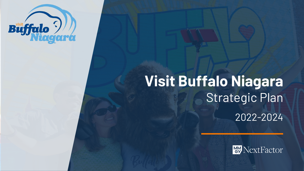

# **Visit Buffalo Niagara** Strategic Plan 2022-2024

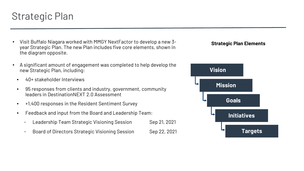### Strategic Plan

- Visit Buffalo Niagara worked with MMGY NextFactor to develop a new 3 year Strategic Plan. The new Plan includes five core elements, shown in the diagram opposite.
- A significant amount of engagement was completed to help develop the new Strategic Plan, including:
- 40+ stakeholder Interviews
- 95 responses from clients and industry, government, community leaders in DestinationNEXT 2.0 Assessment
- +1,400 responses in the Resident Sentiment Survey
- Feedback and input from the Board and Leadership Team:
	- Leadership Team Strategic Visioning Session Sep 21, 2021
	- Board of Directors Strategic Visioning Session Sep 22, 2021

#### **Strategic Plan Elements**

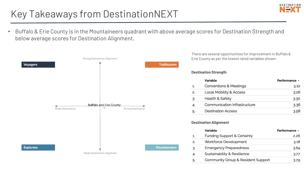### Key Takeaways from DestinationNEXT

• Buffalo & Erie County is in the Mountaineers quadrant with above average scores for Destination Strength and below average scores for Destination Alignment.



There are several opportunities for improvement in Buffalo & Erie County as per the lowest rated variables shown:

#### **Destination Strength**

|    | Variable                           | Performance + |
|----|------------------------------------|---------------|
| 1. | <b>Conventions &amp; Meetings</b>  | 3.10          |
| 2. | <b>Local Mobility &amp; Access</b> | 3.26          |
| 3. | <b>Health &amp; Safety</b>         | 3.30          |
|    | Communication Infrastructure       | 3.36          |
| 5. | <b>Destination Access</b>          | 3.58          |

#### **Destination Alignment**

|    | Variable                           | Performance ^ |
|----|------------------------------------|---------------|
| 1. | Funding Support & Certainty        | 2.26          |
| 2. | Workforce Development              | 3.18          |
| 3. | <b>Emergency Preparedness</b>      | 3.64          |
| 4. | Sustainability & Resilience        | 3.77          |
| 5. | Community Group & Resident Support | 3.79          |

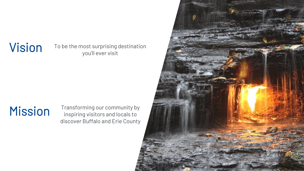Vision To be the most surprising destination you'll ever visit

Mission Transforming our community by<br>inspiring visitors and locals to inspiring visitors and locals to discover Buffalo and Erie County

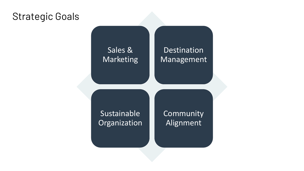#### Strategic Goals

#### Sales & Marketing

#### Destination Management

Sustainable **Organization**  **Community** Alignment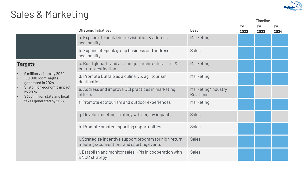

Timeline

## Sales & Marketing

|                                                                           | Strategic Initiatives                                                                               | Lead                                   | <b>FY</b><br>2022 | <b>FY</b><br>2023 | <b>FY</b><br>2024 |
|---------------------------------------------------------------------------|-----------------------------------------------------------------------------------------------------|----------------------------------------|-------------------|-------------------|-------------------|
|                                                                           | a. Expand off-peak leisure visitation & address<br>seasonality                                      | Marketing                              |                   |                   |                   |
|                                                                           | b. Expand off-peak group business and address<br>seasonality                                        | <b>Sales</b>                           |                   |                   |                   |
| <u>Targets</u>                                                            | c. Build global brand as a unique architectural, art &<br>cultural destination                      | Marketing                              |                   |                   |                   |
| 9 million visitors by 2024<br>160,000 room-nights<br>generated in 2024    | d. Promote Buffalo as a culinary & agritourism<br>destination                                       | Marketing                              |                   |                   |                   |
| \$1.9 billion economic impact<br>by 2024<br>\$300 million state and local | e. Address and improve DEI practices in marketing<br>efforts                                        | Marketing/Industry<br><b>Relations</b> |                   |                   |                   |
| taxes generated by 2024                                                   | f. Promote ecotourism and outdoor experiences                                                       | Marketing                              |                   |                   |                   |
|                                                                           | g. Develop meeting strategy with legacy impacts                                                     | <b>Sales</b>                           |                   |                   |                   |
|                                                                           | h. Promote amateur sporting opportunities                                                           | <b>Sales</b>                           |                   |                   |                   |
|                                                                           | i. Strategize incentive support program for high return<br>meetings/conventions and sporting events | <b>Sales</b>                           |                   |                   |                   |
|                                                                           | j. Establish and monitor sales KPIs in cooperation with<br><b>BNCC</b> strategy                     | <b>Sales</b>                           |                   |                   |                   |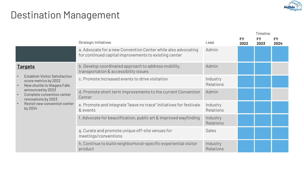

### Destination Management

|                                                                                                                          |                                                                                                                        |                              |                   | Timeline          |                   |
|--------------------------------------------------------------------------------------------------------------------------|------------------------------------------------------------------------------------------------------------------------|------------------------------|-------------------|-------------------|-------------------|
|                                                                                                                          | Strategic Initiatives                                                                                                  | Lead                         | <b>FY</b><br>2022 | <b>FY</b><br>2023 | <b>FY</b><br>2024 |
|                                                                                                                          | a. Advocate for a new Convention Center while also advocating<br>for continued capital improvements to existing center | Admin                        |                   |                   |                   |
| <b>Targets</b>                                                                                                           | b. Develop coordinated approach to address mobility,<br>transportation & accessibility issues                          | Admin                        |                   |                   |                   |
| <b>Establish Visitor Satisfaction</b><br>$\bullet$<br>score metrics by 2022<br>New shuttle to Niagara Falls<br>$\bullet$ | c. Promote increased events to drive visitation                                                                        | Industry<br><b>Relations</b> |                   |                   |                   |
| announced by 2023<br>Complete convention center<br>$\bullet$<br>renovations by 2023                                      | d. Promote short term improvements to the current Convention<br>Center                                                 | Admin                        |                   |                   |                   |
| Revisit new convention center<br>$\bullet$<br>by 2024                                                                    | e. Promote and integrate "leave no trace" initiatives for festivals<br>& events                                        | Industry<br><b>Relations</b> |                   |                   |                   |
|                                                                                                                          | f. Advocate for beautification, public art & improved wayfinding                                                       | Industry<br><b>Relations</b> |                   |                   |                   |
|                                                                                                                          | g. Curate and promote unique off-site venues for<br>meetings/conventions                                               | <b>Sales</b>                 |                   |                   |                   |
|                                                                                                                          | h. Continue to build neighborhood-specific experiential visitor<br>product                                             | Industry<br><b>Relations</b> |                   |                   |                   |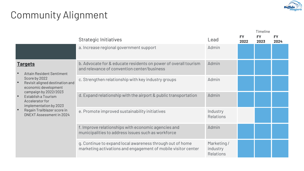

## Community Alignment

|                                                                                                   |                                                                                                                            |                                            |                   | Timeline          |                   |
|---------------------------------------------------------------------------------------------------|----------------------------------------------------------------------------------------------------------------------------|--------------------------------------------|-------------------|-------------------|-------------------|
|                                                                                                   | Strategic Initiatives                                                                                                      | -ead                                       | <b>FY</b><br>2022 | <b>FY</b><br>2023 | <b>FY</b><br>2024 |
|                                                                                                   | a. Increase regional government support                                                                                    | Admin                                      |                   |                   |                   |
| <b>Targets</b><br><b>Attain Resident Sentiment</b>                                                | b. Advocate for & educate residents on power of overall tourism<br>and relevance of convention center/business             | Admin                                      |                   |                   |                   |
| Score by 2022<br>Revisit aligned destination and<br>economic development<br>campaign by 2022/2023 | c. Strengthen relationship with key industry groups                                                                        | Admin                                      |                   |                   |                   |
| Establish a Tourism<br>Accelerator for<br>implementation by 2023                                  | d. Expand relationship with the airport & public transportation                                                            | Admin                                      |                   |                   |                   |
| Regain Trailblazer score in<br><b>DNEXT Assessment in 2024</b>                                    | e. Promote improved sustainability initiatives                                                                             | Industry<br><b>Relations</b>               |                   |                   |                   |
|                                                                                                   | f. Improve relationships with economic agencies and<br>municipalities to address issues such as workforce                  | Admin                                      |                   |                   |                   |
|                                                                                                   | g. Continue to expand local awareness through out of home<br>marketing activations and engagement of mobile visitor center | Marketing/<br>industry<br><b>Relations</b> |                   |                   |                   |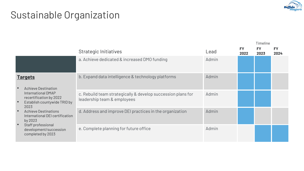

## Sustainable Organization

|                                                                                                                                                                                                                                                                                                      |                                                    |                                                                                             |       |                   | Timeline          |                   |
|------------------------------------------------------------------------------------------------------------------------------------------------------------------------------------------------------------------------------------------------------------------------------------------------------|----------------------------------------------------|---------------------------------------------------------------------------------------------|-------|-------------------|-------------------|-------------------|
|                                                                                                                                                                                                                                                                                                      |                                                    | Strategic Initiatives                                                                       | Lead  | <b>FY</b><br>2022 | <b>FY</b><br>2023 | <b>FY</b><br>2024 |
|                                                                                                                                                                                                                                                                                                      |                                                    | a. Achieve dedicated & increased DMO funding                                                | Admin |                   |                   |                   |
| <b>Targets</b><br><b>Achieve Destination</b><br>International DMAP<br>recertification by 2022<br>Establish countywide TRID by<br>2023<br><b>Achieve Destinations</b><br>$\bullet$<br>International DEI certification<br>by 2023<br>Staff professional<br>development/succession<br>completed by 2023 | b. Expand data intelligence & technology platforms | Admin                                                                                       |       |                   |                   |                   |
|                                                                                                                                                                                                                                                                                                      |                                                    | c. Rebuild team strategically & develop succession plans for<br>leadership team & employees | Admin |                   |                   |                   |
|                                                                                                                                                                                                                                                                                                      |                                                    | d. Address and improve DEI practices in the organization                                    | Admin |                   |                   |                   |
|                                                                                                                                                                                                                                                                                                      |                                                    | e. Complete planning for future office                                                      | Admin |                   |                   |                   |